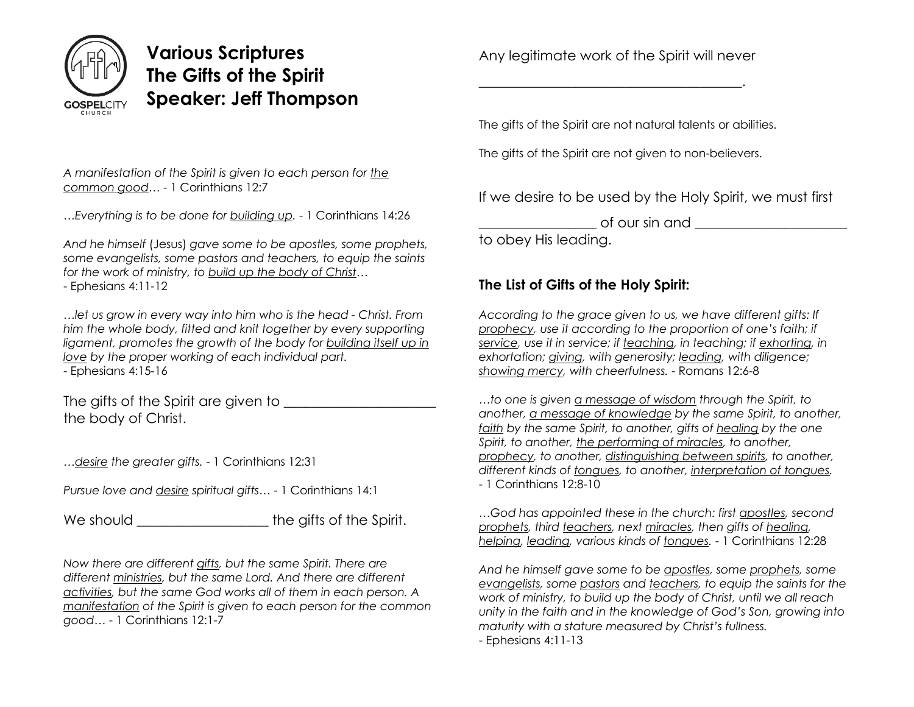

## **Various Scriptures The Gifts of the Spirit Speaker: Jeff Thompson**

*A manifestation of the Spirit is given to each person for the common good…* - 1 Corinthians 12:7

*…Everything is to be done for building up.* - 1 Corinthians 14:26

*And he himself* (Jesus) *gave some to be apostles, some prophets, some evangelists, some pastors and teachers, to equip the saints for the work of ministry, to build up the body of Christ…*

- Ephesians 4:11-12

*…let us grow in every way into him who is the head - Christ. From him the whole body, fitted and knit together by every supporting ligament, promotes the growth of the body for building itself up in love by the proper working of each individual part.* - Ephesians 4:15-16

The gifts of the Spirit are given to \_\_\_\_\_\_\_\_\_\_\_\_\_\_\_\_\_\_\_\_\_\_ the body of Christ.

*…desire the greater gifts.* - 1 Corinthians 12:31

*Pursue love and desire spiritual gifts…* - 1 Corinthians 14:1

We should **We should We should We should We should We should We should** 

*Now there are different gifts, but the same Spirit. There are different ministries, but the same Lord. And there are different activities, but the same God works all of them in each person. A manifestation of the Spirit is given to each person for the common good…* - 1 Corinthians 12:1-7

Any legitimate work of the Spirit will never

\_\_\_\_\_\_\_\_\_\_\_\_\_\_\_\_\_\_\_\_\_\_\_\_\_\_\_\_\_\_\_\_\_\_\_\_\_\_.

The gifts of the Spirit are not natural talents or abilities.

The gifts of the Spirit are not given to non-believers.

If we desire to be used by the Holy Spirit, we must first

 $\circ$  four sin and  $\circ$ 

to obey His leading.

## **The List of Gifts of the Holy Spirit:**

*According to the grace given to us, we have different gifts: If prophecy, use it according to the proportion of one's faith; if service, use it in service; if teaching, in teaching; if exhorting, in exhortation; giving, with generosity; leading, with diligence; showing mercy, with cheerfulness.* - Romans 12:6-8

*…to one is given a message of wisdom through the Spirit, to another, a message of knowledge by the same Spirit, to another, faith by the same Spirit, to another, gifts of healing by the one Spirit, to another, the performing of miracles, to another, prophecy, to another, distinguishing between spirits, to another, different kinds of tongues, to another, interpretation of tongues.* - 1 Corinthians 12:8-10

*…God has appointed these in the church: first apostles, second prophets, third teachers, next miracles, then gifts of healing, helping, leading, various kinds of tongues.* - 1 Corinthians 12:28

*And he himself gave some to be apostles, some prophets, some evangelists, some pastors and teachers, to equip the saints for the work of ministry, to build up the body of Christ, until we all reach unity in the faith and in the knowledge of God's Son, growing into maturity with a stature measured by Christ's fullness.* - Ephesians 4:11-13